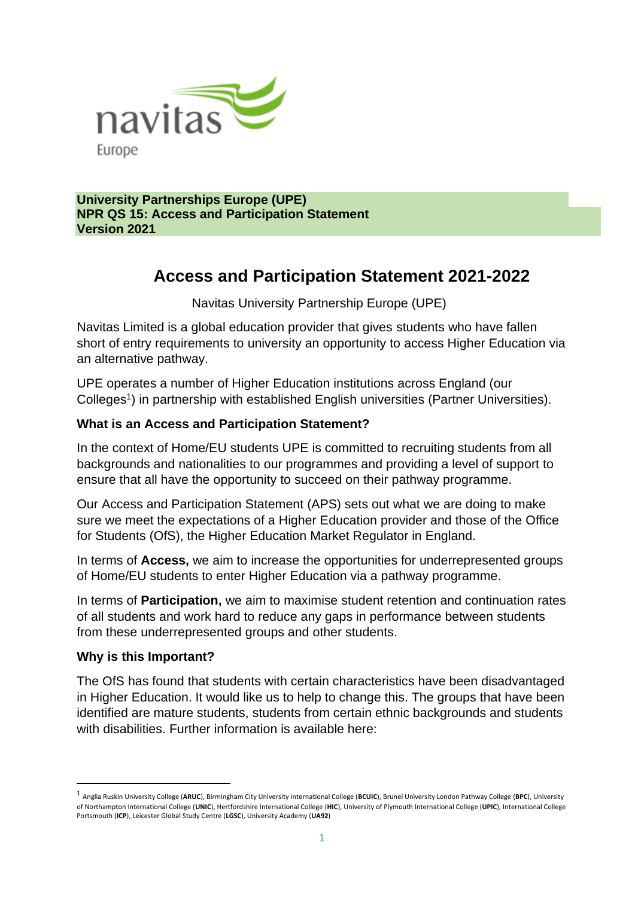

**University Partnerships Europe (UPE) NPR QS 15: Access and Participation Statement Version 2021**

# **Access and Participation Statement 2021-2022**

Navitas University Partnership Europe (UPE)

Navitas Limited is a global education provider that gives students who have fallen short of entry requirements to university an opportunity to access Higher Education via an alternative pathway.

UPE operates a number of Higher Education institutions across England (our Colleges<sup>1</sup>) in partnership with established English universities (Partner Universities).

#### **What is an Access and Participation Statement?**

In the context of Home/EU students UPE is committed to recruiting students from all backgrounds and nationalities to our programmes and providing a level of support to ensure that all have the opportunity to succeed on their pathway programme.

Our Access and Participation Statement (APS) sets out what we are doing to make sure we meet the expectations of a Higher Education provider and those of the Office for Students (OfS), the Higher Education Market Regulator in England.

In terms of **Access,** we aim to increase the opportunities for underrepresented groups of Home/EU students to enter Higher Education via a pathway programme.

In terms of **Participation,** we aim to maximise student retention and continuation rates of all students and work hard to reduce any gaps in performance between students from these underrepresented groups and other students.

#### **Why is this Important?**

The OfS has found that students with certain characteristics have been disadvantaged in Higher Education. It would like us to help to change this. The groups that have been identified are mature students, students from certain ethnic backgrounds and students with disabilities. Further information is available here:

<sup>1</sup> Anglia Ruskin University College (**ARUC**), Birmingham City University International College (**BCUIC**), Brunel University London Pathway College (**BPC**), University of Northampton International College (**UNIC**), Hertfordshire International College (**HIC**), University of Plymouth International College (**UPIC**), International College Portsmouth (**ICP**), Leicester Global Study Centre (**LGSC**), University Academy (**UA92**)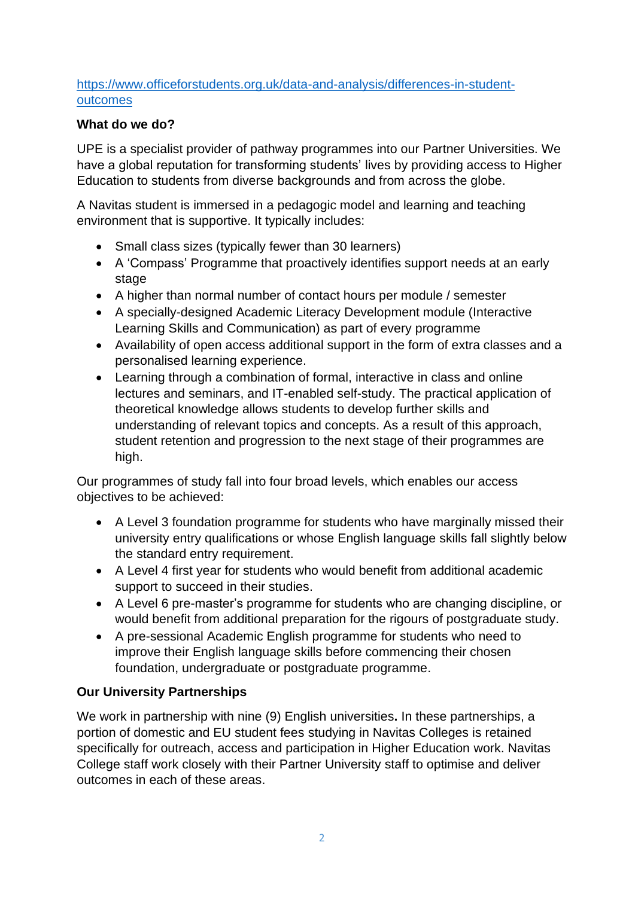#### [https://www.officeforstudents.org.uk/data-and-analysis/differences-in-student](https://www.officeforstudents.org.uk/data-and-analysis/differences-in-student-outcomes)[outcomes](https://www.officeforstudents.org.uk/data-and-analysis/differences-in-student-outcomes)

#### **What do we do?**

UPE is a specialist provider of pathway programmes into our Partner Universities. We have a global reputation for transforming students' lives by providing access to Higher Education to students from diverse backgrounds and from across the globe.

A Navitas student is immersed in a pedagogic model and learning and teaching environment that is supportive. It typically includes:

- Small class sizes (typically fewer than 30 learners)
- A 'Compass' Programme that proactively identifies support needs at an early stage
- A higher than normal number of contact hours per module / semester
- A specially-designed Academic Literacy Development module (Interactive Learning Skills and Communication) as part of every programme
- Availability of open access additional support in the form of extra classes and a personalised learning experience.
- Learning through a combination of formal, interactive in class and online lectures and seminars, and IT-enabled self-study. The practical application of theoretical knowledge allows students to develop further skills and understanding of relevant topics and concepts. As a result of this approach, student retention and progression to the next stage of their programmes are high.

Our programmes of study fall into four broad levels, which enables our access objectives to be achieved:

- A Level 3 foundation programme for students who have marginally missed their university entry qualifications or whose English language skills fall slightly below the standard entry requirement.
- A Level 4 first year for students who would benefit from additional academic support to succeed in their studies.
- A Level 6 pre-master's programme for students who are changing discipline, or would benefit from additional preparation for the rigours of postgraduate study.
- A pre-sessional Academic English programme for students who need to improve their English language skills before commencing their chosen foundation, undergraduate or postgraduate programme.

### **Our University Partnerships**

We work in partnership with nine (9) English universities**.** In these partnerships, a portion of domestic and EU student fees studying in Navitas Colleges is retained specifically for outreach, access and participation in Higher Education work. Navitas College staff work closely with their Partner University staff to optimise and deliver outcomes in each of these areas.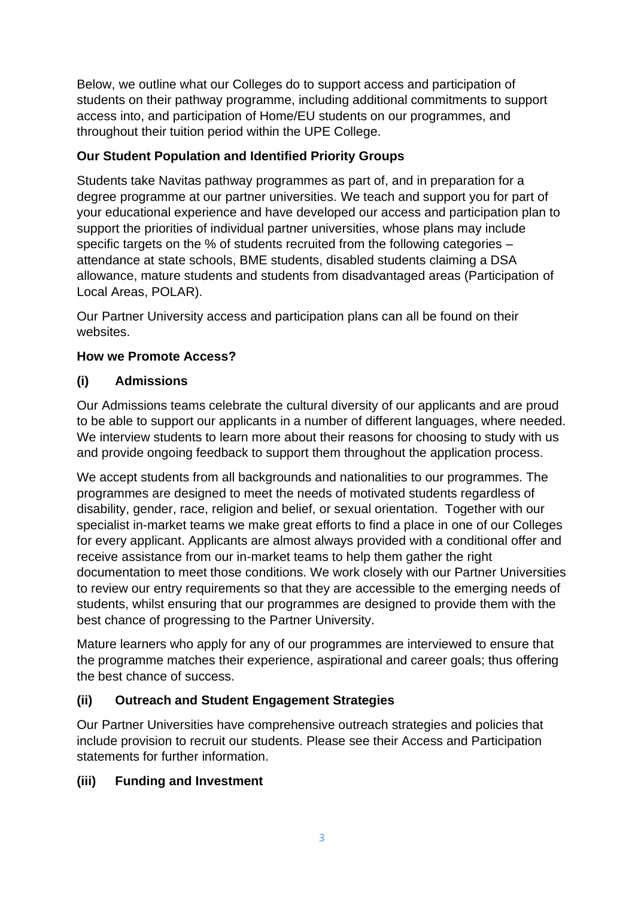Below, we outline what our Colleges do to support access and participation of students on their pathway programme, including additional commitments to support access into, and participation of Home/EU students on our programmes, and throughout their tuition period within the UPE College.

### **Our Student Population and Identified Priority Groups**

Students take Navitas pathway programmes as part of, and in preparation for a degree programme at our partner universities. We teach and support you for part of your educational experience and have developed our access and participation plan to support the priorities of individual partner universities, whose plans may include specific targets on the % of students recruited from the following categories – attendance at state schools, BME students, disabled students claiming a DSA allowance, mature students and students from disadvantaged areas (Participation of Local Areas, POLAR).

Our Partner University access and participation plans can all be found on their websites.

### **How we Promote Access?**

### **(i) Admissions**

Our Admissions teams celebrate the cultural diversity of our applicants and are proud to be able to support our applicants in a number of different languages, where needed. We interview students to learn more about their reasons for choosing to study with us and provide ongoing feedback to support them throughout the application process.

We accept students from all backgrounds and nationalities to our programmes. The programmes are designed to meet the needs of motivated students regardless of disability, gender, race, religion and belief, or sexual orientation. Together with our specialist in-market teams we make great efforts to find a place in one of our Colleges for every applicant. Applicants are almost always provided with a conditional offer and receive assistance from our in-market teams to help them gather the right documentation to meet those conditions. We work closely with our Partner Universities to review our entry requirements so that they are accessible to the emerging needs of students, whilst ensuring that our programmes are designed to provide them with the best chance of progressing to the Partner University.

Mature learners who apply for any of our programmes are interviewed to ensure that the programme matches their experience, aspirational and career goals; thus offering the best chance of success.

## **(ii) Outreach and Student Engagement Strategies**

Our Partner Universities have comprehensive outreach strategies and policies that include provision to recruit our students. Please see their Access and Participation statements for further information.

### **(iii) Funding and Investment**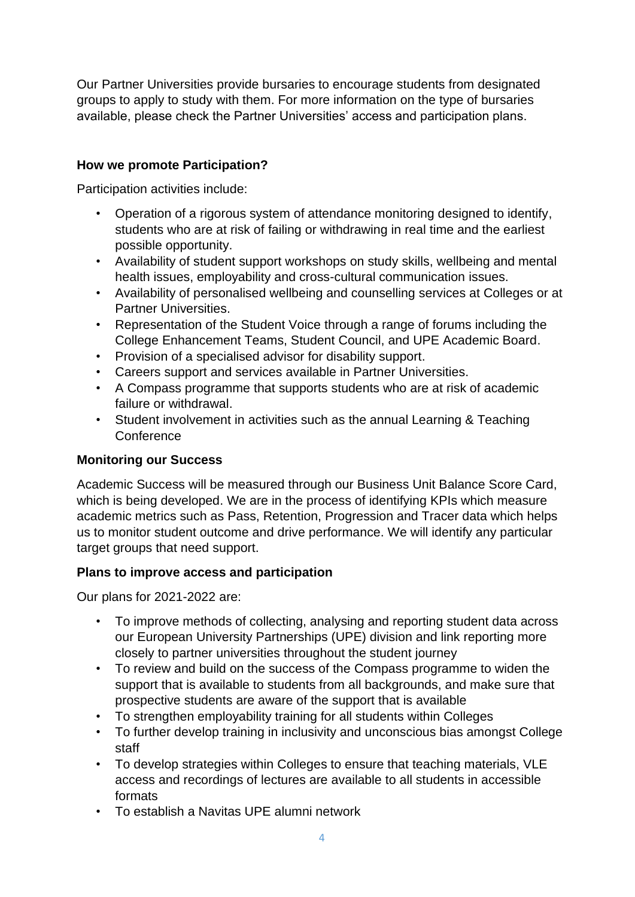Our Partner Universities provide bursaries to encourage students from designated groups to apply to study with them. For more information on the type of bursaries available, please check the Partner Universities' access and participation plans.

#### **How we promote Participation?**

Participation activities include:

- Operation of a rigorous system of attendance monitoring designed to identify, students who are at risk of failing or withdrawing in real time and the earliest possible opportunity.
- Availability of student support workshops on study skills, wellbeing and mental health issues, employability and cross-cultural communication issues.
- Availability of personalised wellbeing and counselling services at Colleges or at Partner Universities.
- Representation of the Student Voice through a range of forums including the College Enhancement Teams, Student Council, and UPE Academic Board.
- Provision of a specialised advisor for disability support.
- Careers support and services available in Partner Universities.
- A Compass programme that supports students who are at risk of academic failure or withdrawal.
- Student involvement in activities such as the annual Learning & Teaching **Conference**

### **Monitoring our Success**

Academic Success will be measured through our Business Unit Balance Score Card, which is being developed. We are in the process of identifying KPIs which measure academic metrics such as Pass, Retention, Progression and Tracer data which helps us to monitor student outcome and drive performance. We will identify any particular target groups that need support.

### **Plans to improve access and participation**

Our plans for 2021-2022 are:

- To improve methods of collecting, analysing and reporting student data across our European University Partnerships (UPE) division and link reporting more closely to partner universities throughout the student journey
- To review and build on the success of the Compass programme to widen the support that is available to students from all backgrounds, and make sure that prospective students are aware of the support that is available
- To strengthen employability training for all students within Colleges
- To further develop training in inclusivity and unconscious bias amongst College staff
- To develop strategies within Colleges to ensure that teaching materials, VLE access and recordings of lectures are available to all students in accessible formats
- To establish a Navitas UPE alumni network